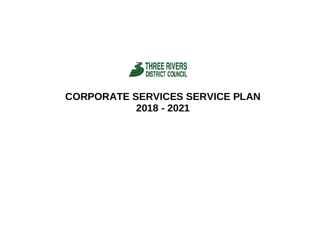

# **CORPORATE SERVICES SERVICE PLAN 2018 - 2021**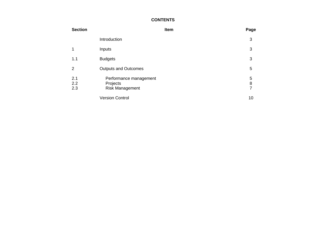### **CONTENTS**

| <b>Section</b>    |                                                              | Item | Page                                       |
|-------------------|--------------------------------------------------------------|------|--------------------------------------------|
|                   | Introduction                                                 |      | 3                                          |
|                   | Inputs                                                       |      | 3                                          |
| 1.1               | <b>Budgets</b>                                               |      | 3                                          |
| 2                 | <b>Outputs and Outcomes</b>                                  |      | 5                                          |
| 2.1<br>2.2<br>2.3 | Performance management<br>Projects<br><b>Risk Management</b> |      | 5<br>$\begin{array}{c} 8 \\ 7 \end{array}$ |
|                   | <b>Version Control</b>                                       |      | 10                                         |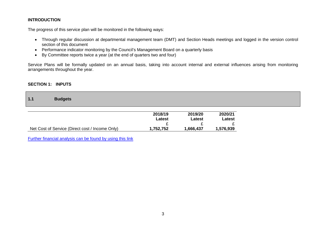### **INTRODUCTION**

The progress of this service plan will be monitored in the following ways:

- Through regular discussion at departmental management team (DMT) and Section Heads meetings and logged in the version control section of this document
- Performance indicator monitoring by the Council's Management Board on a quarterly basis
- By Committee reports twice a year (at the end of quarters two and four)

Service Plans will be formally updated on an annual basis, taking into account internal and external influences arising from monitoring arrangements throughout the year.

#### **SECTION 1: INPUTS**

| 1.1 | <b>Budgets</b> |
|-----|----------------|
|     |                |

|                                                 | 2018/19   | 2019/20   | 2020/21   |
|-------------------------------------------------|-----------|-----------|-----------|
|                                                 | Latest    | Latest    | Latest    |
|                                                 |           |           |           |
| Net Cost of Service (Direct cost / Income Only) | 1,752,752 | 1,666,437 | 1,576,939 |

[Further financial analysis can be found by using this link](http://www.threerivers.gov.uk/egcl-page/budgets-2018-21)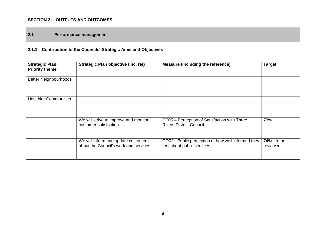### **SECTION 2: OUTPUTS AND OUTCOMES**

### **2.1 Performance management**

# **2.1.1 Contribution to the Councils' Strategic Aims and Objectives**

| <b>Strategic Plan</b><br><b>Priority theme</b> | <b>Strategic Plan objective (inc. ref)</b>                                    | <b>Measure (including the reference)</b>                                         | <b>Target</b>           |
|------------------------------------------------|-------------------------------------------------------------------------------|----------------------------------------------------------------------------------|-------------------------|
| <b>Better Neighbourhoods</b>                   |                                                                               |                                                                                  |                         |
| <b>Healthier Communities</b>                   |                                                                               |                                                                                  |                         |
|                                                | We will strive to improve and monitor<br>customer satisfaction                | CP05 - Perception of Satisfaction with Three<br><b>Rivers District Council</b>   | 73%                     |
|                                                | We will inform and update customers<br>about the Council's work and services. | CO02 - Public perception of how well informed they<br>feel about public services | 74% - to be<br>reviewed |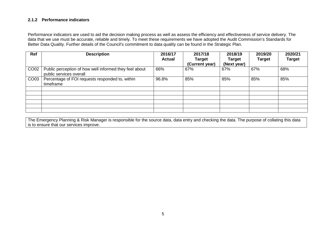### **2.1.2 Performance indicators**

Performance indicators are used to aid the decision making process as well as assess the efficiency and effectiveness of service delivery. The data that we use must be accurate, reliable and timely. To meet these requirements we have adopted the Audit Commission's Standards for Better Data Quality. Further details of the Council's commitment to data quality can be found in the Strategic Plan.

| Ref  | <b>Description</b>                                                                | 2016/17<br>Actual | 2017/18<br><b>Target</b><br>(Current year) | 2018/19<br><b>Target</b><br>(Next year) | 2019/20<br><b>Target</b> | 2020/21<br><b>Target</b> |
|------|-----------------------------------------------------------------------------------|-------------------|--------------------------------------------|-----------------------------------------|--------------------------|--------------------------|
| CO02 | Public perception of how well informed they feel about<br>public services overall | 66%               | 67%                                        | 67%                                     | 67%                      | 68%                      |
| CO03 | Percentage of FOI requests responded to, within<br>timeframe                      | 96.8%             | 85%                                        | 85%                                     | 85%                      | 85%                      |
|      |                                                                                   |                   |                                            |                                         |                          |                          |
|      |                                                                                   |                   |                                            |                                         |                          |                          |
|      |                                                                                   |                   |                                            |                                         |                          |                          |
|      |                                                                                   |                   |                                            |                                         |                          |                          |

The Emergency Planning & Risk Manager is responsible for the source data, data entry and checking the data. The purpose of collating this data is to ensure that our services improve.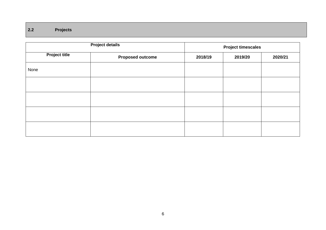# **2.2 Projects**

|                      | <b>Project details</b>  | <b>Project timescales</b> |         |         |  |
|----------------------|-------------------------|---------------------------|---------|---------|--|
| <b>Project title</b> | <b>Proposed outcome</b> | 2018/19                   | 2019/20 | 2020/21 |  |
| None                 |                         |                           |         |         |  |
|                      |                         |                           |         |         |  |
|                      |                         |                           |         |         |  |
|                      |                         |                           |         |         |  |
|                      |                         |                           |         |         |  |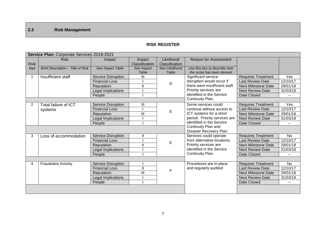# **2.3 Risk Management**

### **RISK REGISTER**

|                | Service Plan: Corporate Services 2018-2021 |                           |                |                |                                                       |                            |                       |  |
|----------------|--------------------------------------------|---------------------------|----------------|----------------|-------------------------------------------------------|----------------------------|-----------------------|--|
|                | <b>Risk</b>                                | Impact                    | Impact         | Likelihood     | Reason for Assessment                                 |                            |                       |  |
| <b>Risk</b>    |                                            |                           | Classification | Classification |                                                       |                            |                       |  |
| Ref            | Brief Description - Title of Risk          | See Impact Table          | See Impact     | See Likelihood | Use this box to describe how                          |                            |                       |  |
|                |                                            |                           | Table          | Table          | the score has been derived                            |                            |                       |  |
| 1              | Insufficient staff                         | <b>Service Disruption</b> | Ш              |                | Significant service                                   | <b>Requires Treatment</b>  | Yes                   |  |
|                |                                            | <b>Financial Loss</b>     |                | D              | disruption would occur if                             | <b>Last Review Date</b>    | $\overline{12/10/17}$ |  |
|                |                                            | Reputation                | $\mathbf{I}$   |                | there were insufficient staff.                        | <b>Next Milestone Date</b> | 29/01/18              |  |
|                |                                            | Legal Implications        |                |                | Priority services are                                 | <b>Next Review Date</b>    | 31/03/18              |  |
|                |                                            | People                    |                |                | identified in the Service                             | Date Closed                |                       |  |
|                |                                            |                           |                |                | Continuity Plan.                                      |                            |                       |  |
| $\overline{2}$ | <b>Total failure of ICT</b>                | <b>Service Disruption</b> | Ш              |                | Some services could                                   | <b>Requires Treatment</b>  | Yes                   |  |
|                | systems                                    | <b>Financial Loss</b>     |                | E              | continue without access to<br>ICT systems for a short | <b>Last Review Date</b>    | $\overline{12}/10/17$ |  |
|                |                                            | Reputation                | III            |                |                                                       | <b>Next Milestone Date</b> | 29/01/18              |  |
|                |                                            | Legal Implications        |                |                | period. Priority services are                         | <b>Next Review Date</b>    | 31/03/18              |  |
|                |                                            | People                    |                |                | identified in the Service                             | Date Closed                |                       |  |
|                |                                            |                           |                |                | Continuity Plan and                                   |                            |                       |  |
|                |                                            |                           |                |                | Disaster Recovery Plan.                               |                            |                       |  |
| 3              | Loss of accommodation                      | <b>Service Disruption</b> | Ш              |                | Services could operate                                | <b>Requires Treatment</b>  | <b>No</b>             |  |
|                |                                            | <b>Financial Loss</b>     |                | E              | from alternative locations.                           | <b>Last Review Date</b>    | $\overline{12}/10/17$ |  |
|                |                                            | Reputation                | $\mathbf{I}$   |                | Priority services are                                 | <b>Next Milestone Date</b> | 29/01/18              |  |
|                |                                            | Legal Implications        |                |                | identified in the Service                             | <b>Next Review Date</b>    | 31/03/18              |  |
|                |                                            | People                    |                |                | Continuity Plan.                                      | Date Closed                |                       |  |
|                |                                            |                           |                |                |                                                       |                            |                       |  |
| 4              | <b>Fraudulent Activity</b>                 | <b>Service Disruption</b> |                |                | Procedures are in place                               | Requires Treatment         | <b>No</b>             |  |
|                |                                            | <b>Financial Loss</b>     | $\mathbf{II}$  | E              | and regularly audited                                 | <b>Last Review Date</b>    | 12/10/17              |  |
|                |                                            | Reputation                | Ш              |                |                                                       | <b>Next Milestone Date</b> | 29/01/18              |  |
|                |                                            | Legal Implications        |                |                |                                                       | <b>Next Review Date</b>    | 31/03/18              |  |
|                |                                            | People                    |                |                |                                                       | Date Closed                |                       |  |
|                |                                            |                           |                |                |                                                       |                            |                       |  |
|                |                                            |                           |                |                |                                                       |                            |                       |  |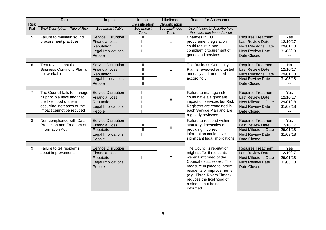|                | <b>Risk</b>                        | Impact                    | Impact                    | Likelihood              | Reason for Assessment                                      |                            |           |
|----------------|------------------------------------|---------------------------|---------------------------|-------------------------|------------------------------------------------------------|----------------------------|-----------|
| <b>Risk</b>    |                                    |                           | Classification            | Classification          |                                                            |                            |           |
| Ref            | Brief Description - Title of Risk  | See Impact Table          | See Impact<br>Table       | See Likelihood<br>Table | Use this box to describe how<br>the score has been derived |                            |           |
| 5              | Failure to maintain sound          | <b>Service Disruption</b> | Ш                         |                         | Changes in EU                                              | <b>Requires Treatment</b>  | Yes       |
|                | procurement practices              | <b>Financial Loss</b>     | III                       |                         | procurement legislation                                    | <b>Last Review Date</b>    | 12/10/17  |
|                |                                    | Reputation                | $\overline{\mathbb{I}}$   | E                       | could result in non-                                       | <b>Next Milestone Date</b> | 29/01/18  |
|                |                                    | <b>Legal Implications</b> | $\overline{\mathbb{I}}$   |                         | compliant procurement of                                   | <b>Next Review Date</b>    | 31/03/18  |
|                |                                    | People                    |                           |                         | goods and services.                                        | Date Closed                |           |
|                |                                    |                           |                           |                         |                                                            |                            |           |
| 6              | Test reveals that the              | <b>Service Disruption</b> | Ш                         |                         | The Business Continuity                                    | <b>Requires Treatment</b>  | <b>No</b> |
|                | <b>Business Continuity Plan is</b> | <b>Financial Loss</b>     | $\mathbf{I}$              |                         | Plan is reviewed and tested                                | <b>Last Review Date</b>    | 12/10/17  |
|                | not workable                       | Reputation                | Ш                         | E                       | annually and amended                                       | <b>Next Milestone Date</b> | 29/01/18  |
|                |                                    | Legal Implications        | $\mathbf{I}$              |                         | accordingly.                                               | <b>Next Review Date</b>    | 31/03/18  |
|                |                                    | People                    | $\mathbf{I}$              |                         |                                                            | Date Closed                |           |
|                |                                    |                           |                           |                         |                                                            |                            |           |
| $\overline{7}$ | The Council fails to manage        | Service Disruption        | $\overline{\mathbb{I}}$   |                         | Failure to manage risk                                     | <b>Requires Treatment</b>  | Yes       |
|                | its principle risks and that       | <b>Financial Loss</b>     | $\overline{\mathbb{I}}$   |                         | could have a significant                                   | <b>Last Review Date</b>    | 12/10/17  |
|                | the likelihood of them             | Reputation                | $\overline{\mathsf{III}}$ | E                       | impact on services but Risk                                | <b>Next Milestone Date</b> | 29/01/18  |
|                | occurring increases or the         | Legal Implications        | $\mathbf{III}$            |                         | Registers are contained in                                 | <b>Next Review Date</b>    | 31/03/18  |
|                | impact cannot be reduced           | People                    | $\mathbf{III}$            |                         | each Service Plan and are                                  | Date Closed                |           |
|                |                                    |                           |                           |                         | regularly reviewed.                                        |                            |           |
| 8              | Non-compliance with Data           | <b>Service Disruption</b> |                           |                         | Failure to respond within                                  | <b>Requires Treatment</b>  | Yes       |
|                | Protection and Freedom of          | <b>Financial Loss</b>     | $\mathbf{II}$             | E                       | statutory timescales or                                    | <b>Last Review Date</b>    | 12/10/17  |
|                | <b>Information Act</b>             | Reputation                | $\mathbf{II}$             |                         | providing incorrect                                        | <b>Next Milestone Date</b> | 29/01/18  |
|                |                                    | Legal Implications        | III                       |                         | information could have                                     | <b>Next Review Date</b>    | 31/03/18  |
|                |                                    | People                    |                           |                         | significant legal implications                             | Date Closed                |           |
|                |                                    |                           |                           |                         |                                                            |                            |           |
| 9              | Failure to tell residents          | Service Disruption        |                           |                         | The Council's reputation                                   | <b>Requires Treatment</b>  | Yes       |
|                | about improvements                 | <b>Financial Loss</b>     |                           | E                       | might suffer if residents                                  | <b>Last Review Date</b>    | 12/10/17  |
|                |                                    | Reputation                | III                       |                         | weren't informed of the                                    | <b>Next Milestone Date</b> | 29/01/18  |
|                |                                    | Legal Implications        |                           |                         | Council's successes. The                                   | <b>Next Review Date</b>    | 31/03/18  |
|                |                                    | People                    |                           |                         | measure in place to inform                                 | Date Closed                |           |
|                |                                    |                           |                           |                         | residents of improvements                                  |                            |           |
|                |                                    |                           |                           |                         | (e.g. Three Rivers Times)<br>reduces the likelihood of     |                            |           |
|                |                                    |                           |                           |                         |                                                            |                            |           |
|                |                                    |                           |                           |                         | residents not being<br>informed                            |                            |           |
|                |                                    |                           |                           |                         |                                                            |                            |           |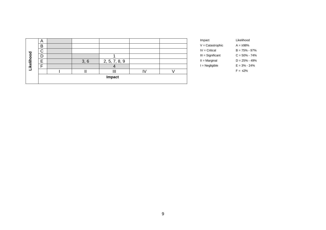|           | $\overline{A}$ |      |               |    | Impact              | Likelihood        |
|-----------|----------------|------|---------------|----|---------------------|-------------------|
|           | B              |      |               |    | $V =$ Catastrophic  | $A = 298%$        |
|           | $\sim$<br>v    |      |               |    | $IV = Critical$     | $B = 75\% - 97\%$ |
|           | D              |      |               |    | $III =$ Significant | $C = 50\% - 74\%$ |
| ikelihood | E              | 3, 6 | 2, 5, 7, 8, 9 |    | $II = Marginal$     | $D = 25\% - 49\%$ |
|           | Е              |      |               |    | $I = Negligible$    | $E = 3\% - 24\%$  |
|           |                |      | Ш             | I٧ |                     | $F = \leq 2\%$    |
|           |                |      | Impact        |    |                     |                   |

| Impact              | Likelihood        |
|---------------------|-------------------|
| $V =$ Catastrophic  | $A = 298%$        |
| $IV = Critical$     | $B = 75\% - 97\%$ |
| $III =$ Significant | $C = 50\% - 74\%$ |
| $II =$ Marginal     | $D = 25\% - 49\%$ |
| $I = Neqliqible$    | $E = 3\% - 24\%$  |
|                     | $F = \leq 2\%$    |